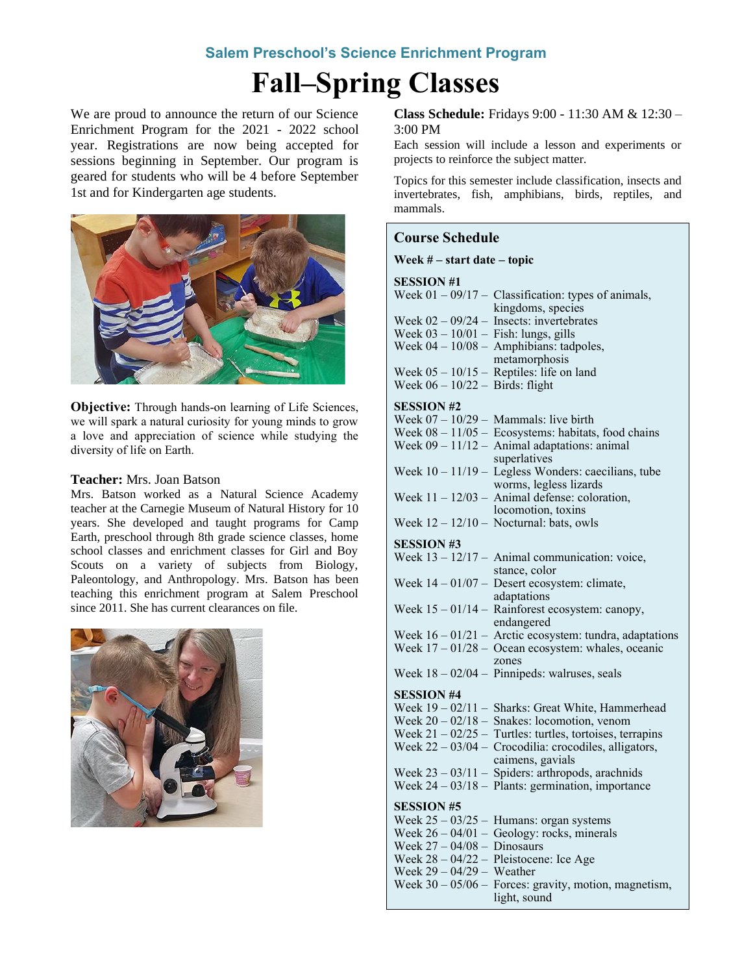# **Salem Preschool's Science Enrichment Program**

# **Fall–Spring Classes**

We are proud to announce the return of our Science Enrichment Program for the 2021 - 2022 school year. Registrations are now being accepted for sessions beginning in September. Our program is geared for students who will be 4 before September 1st and for Kindergarten age students.



**Objective:** Through hands-on learning of Life Sciences, we will spark a natural curiosity for young minds to grow a love and appreciation of science while studying the diversity of life on Earth.

# **Teacher:** Mrs. Joan Batson

Mrs. Batson worked as a Natural Science Academy teacher at the Carnegie Museum of Natural History for 10 years. She developed and taught programs for Camp Earth, preschool through 8th grade science classes, home school classes and enrichment classes for Girl and Boy Scouts on a variety of subjects from Biology, Paleontology, and Anthropology. Mrs. Batson has been teaching this enrichment program at Salem Preschool since 2011. She has current clearances on file.



**Class Schedule:** Fridays 9:00 - 11:30 AM & 12:30 – 3:00 PM

Each session will include a lesson and experiments or projects to reinforce the subject matter.

Topics for this semester include classification, insects and invertebrates, fish, amphibians, birds, reptiles, and mammals.

## **Course Schedule**

#### **Week # – start date – topic**

#### **SESSION #1**

| <b>PEPPIOLI</b> #1                |                                                                                                                   |
|-----------------------------------|-------------------------------------------------------------------------------------------------------------------|
|                                   | Week $01 - 09/17$ - Classification: types of animals,                                                             |
|                                   | kingdoms, species                                                                                                 |
|                                   | Week $02 - 09/24 -$ Insects: invertebrates                                                                        |
|                                   | Week 03 - 10/01 - Fish: lungs, gills<br>Week 04 - 10/08 - Amphibians: tadpoles,                                   |
|                                   |                                                                                                                   |
|                                   | metamorphosis                                                                                                     |
|                                   | Week $05 - 10/15$ – Reptiles: life on land                                                                        |
| Week $06 - 10/22 -$ Birds: flight |                                                                                                                   |
|                                   |                                                                                                                   |
| <b>SESSION #2</b>                 |                                                                                                                   |
|                                   | Week $07 - 10/29$ - Mammals: live birth                                                                           |
|                                   |                                                                                                                   |
|                                   | Week $08 - 11/05$ – Ecosystems: habitats, food chains<br>Week $09 - 11/12$ – Animal adaptations: animal           |
|                                   | superlatives                                                                                                      |
|                                   | Week $10 - 11/19$ – Legless Wonders: caecilians, tube                                                             |
|                                   |                                                                                                                   |
|                                   | worms, legless lizards<br>Week $11 - 12/03$ – Animal defense: coloration,                                         |
|                                   |                                                                                                                   |
|                                   | locomotion, toxins                                                                                                |
|                                   | Week $12 - 12/10$ - Nocturnal: bats, owls                                                                         |
| <b>SESSION #3</b>                 |                                                                                                                   |
|                                   |                                                                                                                   |
|                                   | Week $13 - 12/17$ - Animal communication: voice,                                                                  |
|                                   | stance, color                                                                                                     |
|                                   | Week $14 - 01/07$ - Desert ecosystem: climate,                                                                    |
|                                   | adaptations                                                                                                       |
|                                   | Week $15 - 01/14$ - Rainforest ecosystem: canopy,                                                                 |
|                                   | endangered                                                                                                        |
|                                   | Week $16 - 01/21$ – Arctic ecosystem: tundra, adaptations                                                         |
|                                   | Week $17 - 01/28$ – Ocean ecosystem: whales, oceanic                                                              |
|                                   | zones                                                                                                             |
|                                   | Week $18 - 02/04$ – Pinnipeds: walruses, seals                                                                    |
|                                   |                                                                                                                   |
| <b>SESSION #4</b>                 |                                                                                                                   |
|                                   | Week 19 - 02/11 - Sharks: Great White, Hammerhead<br>Week 20 - 02/18 - Snakes: locomotion, venom                  |
|                                   |                                                                                                                   |
|                                   |                                                                                                                   |
|                                   | Week 21 – 02/25 – Turtles: turtles, tortoises, terrapins<br>Week 22 – 03/04 – Crocodilia: crocodiles, alligators, |
|                                   | caimens, gavials                                                                                                  |
|                                   | Week $23 - 03/11$ - Spiders: arthropods, arachnids                                                                |
|                                   | Week $24 - 03/18 -$ Plants: germination, importance                                                               |
|                                   |                                                                                                                   |
| <b>SESSION #5</b>                 |                                                                                                                   |
|                                   | Week $25 - 03/25$ – Humans: organ systems                                                                         |
|                                   | Week $26 - 04/01$ - Geology: rocks, minerals                                                                      |
| Week $27 - 04/08 -$ Dinosaurs     |                                                                                                                   |
|                                   | Week $28 - 04/22$ – Pleistocene: Ice Age                                                                          |
| Week $29 - 04/29$ - Weather       |                                                                                                                   |
|                                   | Week $30 - 05/06$ – Forces: gravity, motion, magnetism,                                                           |
|                                   | light, sound                                                                                                      |
|                                   |                                                                                                                   |